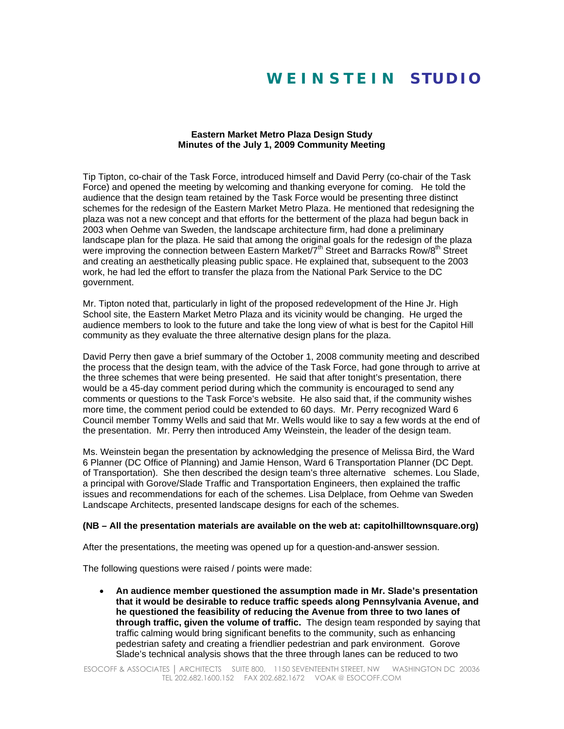## **W E I N S T E I N S T U D I O**

## **Eastern Market Metro Plaza Design Study Minutes of the July 1, 2009 Community Meeting**

Tip Tipton, co-chair of the Task Force, introduced himself and David Perry (co-chair of the Task Force) and opened the meeting by welcoming and thanking everyone for coming. He told the audience that the design team retained by the Task Force would be presenting three distinct schemes for the redesign of the Eastern Market Metro Plaza. He mentioned that redesigning the plaza was not a new concept and that efforts for the betterment of the plaza had begun back in 2003 when Oehme van Sweden, the landscape architecture firm, had done a preliminary landscape plan for the plaza. He said that among the original goals for the redesign of the plaza were improving the connection between Eastern Market/7<sup>th</sup> Street and Barracks Row/8<sup>th</sup> Street and creating an aesthetically pleasing public space. He explained that, subsequent to the 2003 work, he had led the effort to transfer the plaza from the National Park Service to the DC government.

Mr. Tipton noted that, particularly in light of the proposed redevelopment of the Hine Jr. High School site, the Eastern Market Metro Plaza and its vicinity would be changing. He urged the audience members to look to the future and take the long view of what is best for the Capitol Hill community as they evaluate the three alternative design plans for the plaza.

David Perry then gave a brief summary of the October 1, 2008 community meeting and described the process that the design team, with the advice of the Task Force, had gone through to arrive at the three schemes that were being presented. He said that after tonight's presentation, there would be a 45-day comment period during which the community is encouraged to send any comments or questions to the Task Force's website. He also said that, if the community wishes more time, the comment period could be extended to 60 days. Mr. Perry recognized Ward 6 Council member Tommy Wells and said that Mr. Wells would like to say a few words at the end of the presentation. Mr. Perry then introduced Amy Weinstein, the leader of the design team.

Ms. Weinstein began the presentation by acknowledging the presence of Melissa Bird, the Ward 6 Planner (DC Office of Planning) and Jamie Henson, Ward 6 Transportation Planner (DC Dept. of Transportation). She then described the design team's three alternative schemes. Lou Slade, a principal with Gorove/Slade Traffic and Transportation Engineers, then explained the traffic issues and recommendations for each of the schemes. Lisa Delplace, from Oehme van Sweden Landscape Architects, presented landscape designs for each of the schemes.

## **(NB – All the presentation materials are available on the web at: capitolhilltownsquare.org)**

After the presentations, the meeting was opened up for a question-and-answer session.

The following questions were raised / points were made:

• **An audience member questioned the assumption made in Mr. Slade's presentation that it would be desirable to reduce traffic speeds along Pennsylvania Avenue, and he questioned the feasibility of reducing the Avenue from three to two lanes of through traffic, given the volume of traffic.** The design team responded by saying that traffic calming would bring significant benefits to the community, such as enhancing pedestrian safety and creating a friendlier pedestrian and park environment. Gorove Slade's technical analysis shows that the three through lanes can be reduced to two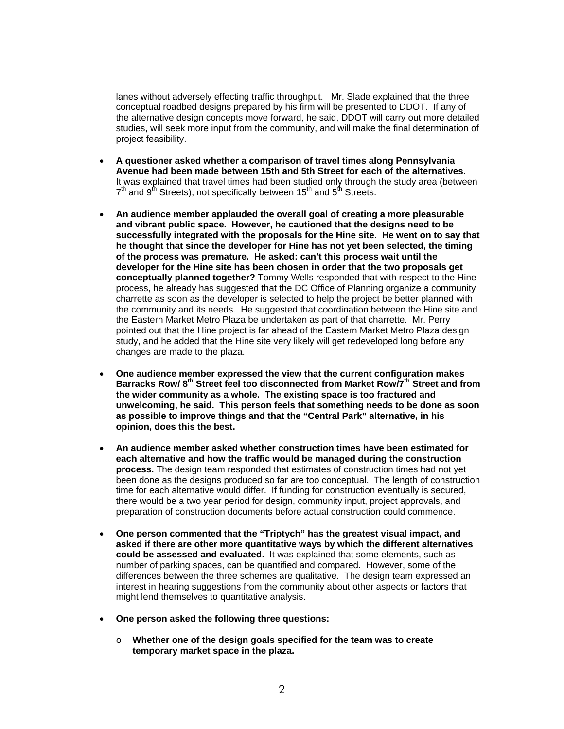lanes without adversely effecting traffic throughput. Mr. Slade explained that the three conceptual roadbed designs prepared by his firm will be presented to DDOT. If any of the alternative design concepts move forward, he said, DDOT will carry out more detailed studies, will seek more input from the community, and will make the final determination of project feasibility.

- **A questioner asked whether a comparison of travel times along Pennsylvania Avenue had been made between 15th and 5th Street for each of the alternatives.**  It was explained that travel times had been studied only through the study area (between  $7<sup>th</sup>$  and 9<sup>th</sup> Streets), not specifically between 15<sup>th</sup> and 5<sup>th</sup> Streets.
- **An audience member applauded the overall goal of creating a more pleasurable and vibrant public space. However, he cautioned that the designs need to be successfully integrated with the proposals for the Hine site. He went on to say that he thought that since the developer for Hine has not yet been selected, the timing of the process was premature. He asked: can't this process wait until the developer for the Hine site has been chosen in order that the two proposals get conceptually planned together?** Tommy Wells responded that with respect to the Hine process, he already has suggested that the DC Office of Planning organize a community charrette as soon as the developer is selected to help the project be better planned with the community and its needs. He suggested that coordination between the Hine site and the Eastern Market Metro Plaza be undertaken as part of that charrette. Mr. Perry pointed out that the Hine project is far ahead of the Eastern Market Metro Plaza design study, and he added that the Hine site very likely will get redeveloped long before any changes are made to the plaza.
- **One audience member expressed the view that the current configuration makes**  Barracks Row/8<sup>th</sup> Street feel too disconnected from Market Row<sup>7th</sup> Street and from **the wider community as a whole. The existing space is too fractured and unwelcoming, he said. This person feels that something needs to be done as soon as possible to improve things and that the "Central Park" alternative, in his opinion, does this the best.**
- **An audience member asked whether construction times have been estimated for each alternative and how the traffic would be managed during the construction process.** The design team responded that estimates of construction times had not yet been done as the designs produced so far are too conceptual. The length of construction time for each alternative would differ. If funding for construction eventually is secured, there would be a two year period for design, community input, project approvals, and preparation of construction documents before actual construction could commence.
- **One person commented that the "Triptych" has the greatest visual impact, and asked if there are other more quantitative ways by which the different alternatives could be assessed and evaluated.** It was explained that some elements, such as number of parking spaces, can be quantified and compared. However, some of the differences between the three schemes are qualitative. The design team expressed an interest in hearing suggestions from the community about other aspects or factors that might lend themselves to quantitative analysis.
- **One person asked the following three questions:** 
	- o **Whether one of the design goals specified for the team was to create temporary market space in the plaza.**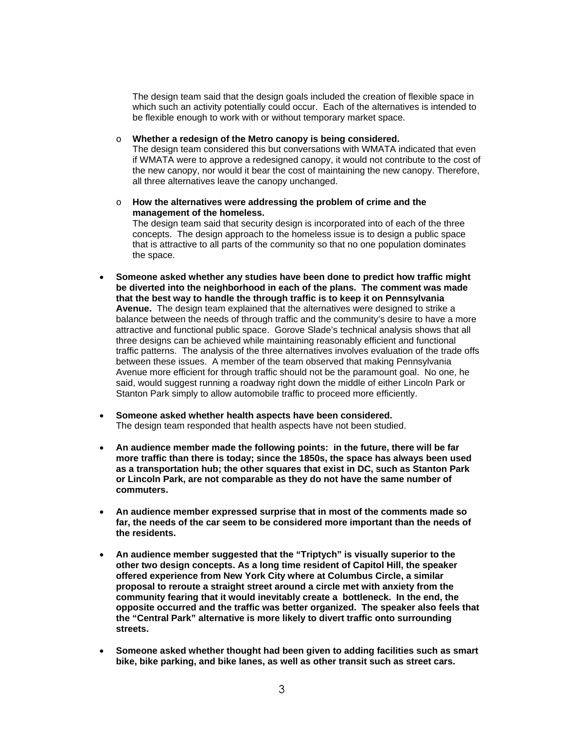The design team said that the design goals included the creation of flexible space in which such an activity potentially could occur. Each of the alternatives is intended to be flexible enough to work with or without temporary market space.

o **Whether a redesign of the Metro canopy is being considered.** 

The design team considered this but conversations with WMATA indicated that even if WMATA were to approve a redesigned canopy, it would not contribute to the cost of the new canopy, nor would it bear the cost of maintaining the new canopy. Therefore, all three alternatives leave the canopy unchanged.

o **How the alternatives were addressing the problem of crime and the management of the homeless.** 

The design team said that security design is incorporated into of each of the three concepts. The design approach to the homeless issue is to design a public space that is attractive to all parts of the community so that no one population dominates the space.

- **Someone asked whether any studies have been done to predict how traffic might be diverted into the neighborhood in each of the plans. The comment was made that the best way to handle the through traffic is to keep it on Pennsylvania Avenue.** The design team explained that the alternatives were designed to strike a balance between the needs of through traffic and the community's desire to have a more attractive and functional public space. Gorove Slade's technical analysis shows that all three designs can be achieved while maintaining reasonably efficient and functional traffic patterns. The analysis of the three alternatives involves evaluation of the trade offs between these issues. A member of the team observed that making Pennsylvania Avenue more efficient for through traffic should not be the paramount goal. No one, he said, would suggest running a roadway right down the middle of either Lincoln Park or Stanton Park simply to allow automobile traffic to proceed more efficiently.
- **Someone asked whether health aspects have been considered.** The design team responded that health aspects have not been studied.
- **An audience member made the following points: in the future, there will be far more traffic than there is today; since the 1850s, the space has always been used as a transportation hub; the other squares that exist in DC, such as Stanton Park or Lincoln Park, are not comparable as they do not have the same number of commuters.**
- **An audience member expressed surprise that in most of the comments made so far, the needs of the car seem to be considered more important than the needs of the residents.**
- **An audience member suggested that the "Triptych" is visually superior to the other two design concepts. As a long time resident of Capitol Hill, the speaker offered experience from New York City where at Columbus Circle, a similar proposal to reroute a straight street around a circle met with anxiety from the community fearing that it would inevitably create a bottleneck. In the end, the opposite occurred and the traffic was better organized. The speaker also feels that the "Central Park" alternative is more likely to divert traffic onto surrounding streets.**
- **Someone asked whether thought had been given to adding facilities such as smart bike, bike parking, and bike lanes, as well as other transit such as street cars.**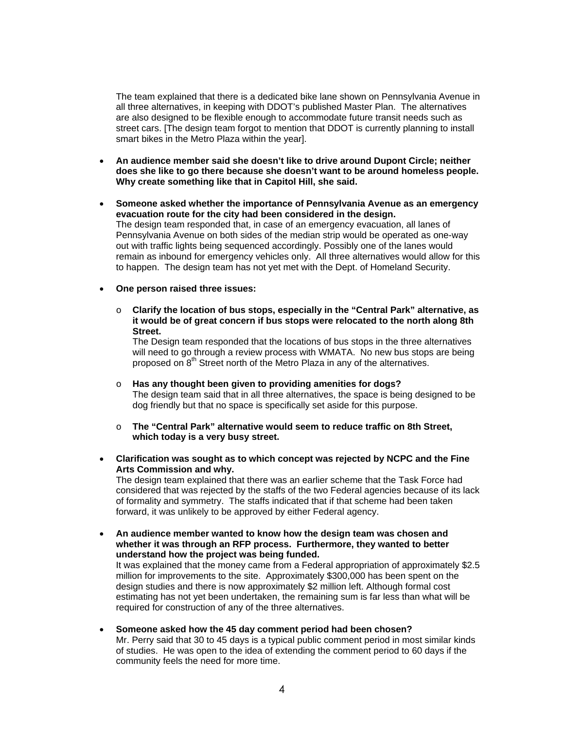The team explained that there is a dedicated bike lane shown on Pennsylvania Avenue in all three alternatives, in keeping with DDOT's published Master Plan. The alternatives are also designed to be flexible enough to accommodate future transit needs such as street cars. [The design team forgot to mention that DDOT is currently planning to install smart bikes in the Metro Plaza within the year].

- **An audience member said she doesn't like to drive around Dupont Circle; neither does she like to go there because she doesn't want to be around homeless people. Why create something like that in Capitol Hill, she said.**
- **Someone asked whether the importance of Pennsylvania Avenue as an emergency evacuation route for the city had been considered in the design.**  The design team responded that, in case of an emergency evacuation, all lanes of Pennsylvania Avenue on both sides of the median strip would be operated as one-way out with traffic lights being sequenced accordingly. Possibly one of the lanes would remain as inbound for emergency vehicles only. All three alternatives would allow for this to happen. The design team has not yet met with the Dept. of Homeland Security.
- **One person raised three issues:**
	- o **Clarify the location of bus stops, especially in the "Central Park" alternative, as it would be of great concern if bus stops were relocated to the north along 8th Street.**

The Design team responded that the locations of bus stops in the three alternatives will need to go through a review process with WMATA. No new bus stops are being proposed on 8<sup>th</sup> Street north of the Metro Plaza in any of the alternatives.

- o **Has any thought been given to providing amenities for dogs?**  The design team said that in all three alternatives, the space is being designed to be dog friendly but that no space is specifically set aside for this purpose.
- o **The "Central Park" alternative would seem to reduce traffic on 8th Street, which today is a very busy street.**
- **Clarification was sought as to which concept was rejected by NCPC and the Fine Arts Commission and why.**  The design team explained that there was an earlier scheme that the Task Force had

considered that was rejected by the staffs of the two Federal agencies because of its lack of formality and symmetry. The staffs indicated that if that scheme had been taken forward, it was unlikely to be approved by either Federal agency.

- **An audience member wanted to know how the design team was chosen and whether it was through an RFP process. Furthermore, they wanted to better understand how the project was being funded.**  It was explained that the money came from a Federal appropriation of approximately \$2.5 million for improvements to the site. Approximately \$300,000 has been spent on the design studies and there is now approximately \$2 million left. Although formal cost estimating has not yet been undertaken, the remaining sum is far less than what will be required for construction of any of the three alternatives.
- **Someone asked how the 45 day comment period had been chosen?**  Mr. Perry said that 30 to 45 days is a typical public comment period in most similar kinds of studies. He was open to the idea of extending the comment period to 60 days if the community feels the need for more time.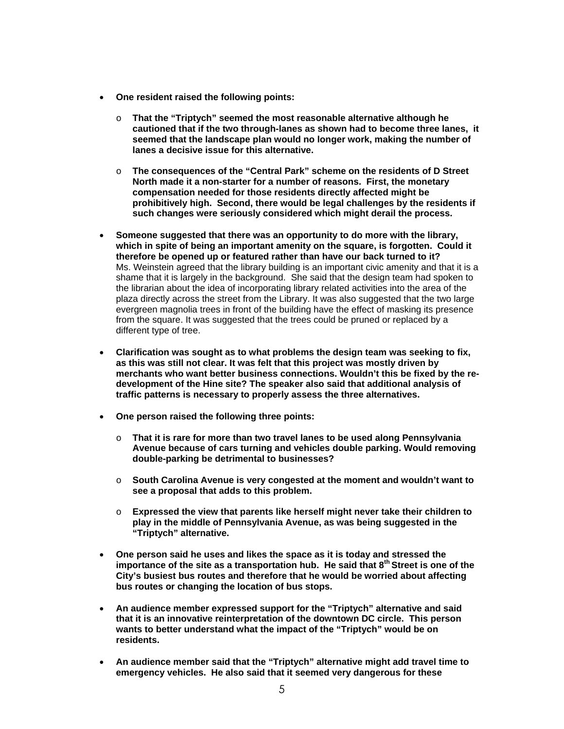- **One resident raised the following points:**
	- o **That the "Triptych" seemed the most reasonable alternative although he cautioned that if the two through-lanes as shown had to become three lanes, it seemed that the landscape plan would no longer work, making the number of lanes a decisive issue for this alternative.**
	- o **The consequences of the "Central Park" scheme on the residents of D Street North made it a non-starter for a number of reasons. First, the monetary compensation needed for those residents directly affected might be prohibitively high. Second, there would be legal challenges by the residents if such changes were seriously considered which might derail the process.**
- **Someone suggested that there was an opportunity to do more with the library, which in spite of being an important amenity on the square, is forgotten. Could it therefore be opened up or featured rather than have our back turned to it?**  Ms. Weinstein agreed that the library building is an important civic amenity and that it is a shame that it is largely in the background. She said that the design team had spoken to the librarian about the idea of incorporating library related activities into the area of the plaza directly across the street from the Library. It was also suggested that the two large evergreen magnolia trees in front of the building have the effect of masking its presence from the square. It was suggested that the trees could be pruned or replaced by a different type of tree.
- **Clarification was sought as to what problems the design team was seeking to fix, as this was still not clear. It was felt that this project was mostly driven by merchants who want better business connections. Wouldn't this be fixed by the redevelopment of the Hine site? The speaker also said that additional analysis of traffic patterns is necessary to properly assess the three alternatives.**
- **One person raised the following three points:**
	- o **That it is rare for more than two travel lanes to be used along Pennsylvania Avenue because of cars turning and vehicles double parking. Would removing double-parking be detrimental to businesses?**
	- o **South Carolina Avenue is very congested at the moment and wouldn't want to see a proposal that adds to this problem.**
	- o **Expressed the view that parents like herself might never take their children to play in the middle of Pennsylvania Avenue, as was being suggested in the "Triptych" alternative.**
- **One person said he uses and likes the space as it is today and stressed the importance of the site as a transportation hub. He said that 8th Street is one of the City's busiest bus routes and therefore that he would be worried about affecting bus routes or changing the location of bus stops.**
- **An audience member expressed support for the "Triptych" alternative and said that it is an innovative reinterpretation of the downtown DC circle. This person wants to better understand what the impact of the "Triptych" would be on residents.**
- **An audience member said that the "Triptych" alternative might add travel time to emergency vehicles. He also said that it seemed very dangerous for these**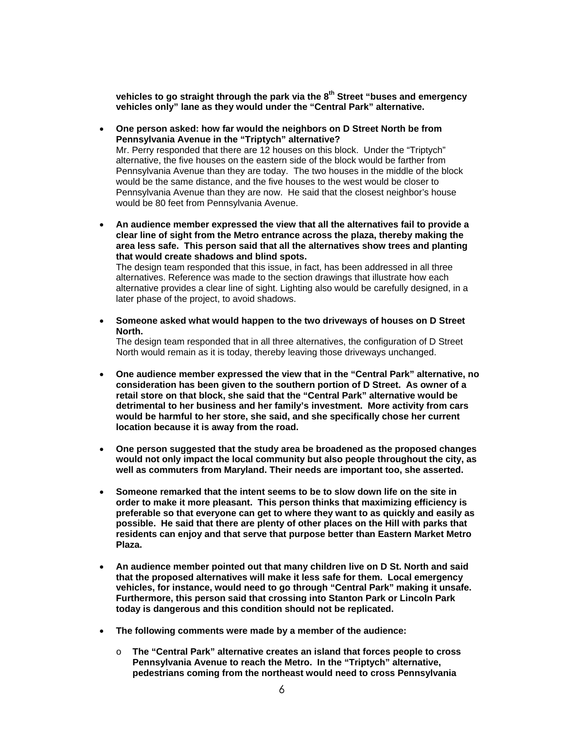**vehicles to go straight through the park via the 8th Street "buses and emergency vehicles only" lane as they would under the "Central Park" alternative.** 

- **One person asked: how far would the neighbors on D Street North be from Pennsylvania Avenue in the "Triptych" alternative?** Mr. Perry responded that there are 12 houses on this block. Under the "Triptych" alternative, the five houses on the eastern side of the block would be farther from Pennsylvania Avenue than they are today. The two houses in the middle of the block would be the same distance, and the five houses to the west would be closer to Pennsylvania Avenue than they are now. He said that the closest neighbor's house would be 80 feet from Pennsylvania Avenue.
- **An audience member expressed the view that all the alternatives fail to provide a clear line of sight from the Metro entrance across the plaza, thereby making the area less safe. This person said that all the alternatives show trees and planting that would create shadows and blind spots.**  The design team responded that this issue, in fact, has been addressed in all three

alternatives. Reference was made to the section drawings that illustrate how each alternative provides a clear line of sight. Lighting also would be carefully designed, in a later phase of the project, to avoid shadows.

• **Someone asked what would happen to the two driveways of houses on D Street North.** 

The design team responded that in all three alternatives, the configuration of D Street North would remain as it is today, thereby leaving those driveways unchanged.

- **One audience member expressed the view that in the "Central Park" alternative, no consideration has been given to the southern portion of D Street. As owner of a retail store on that block, she said that the "Central Park" alternative would be detrimental to her business and her family's investment. More activity from cars would be harmful to her store, she said, and she specifically chose her current location because it is away from the road.**
- **One person suggested that the study area be broadened as the proposed changes would not only impact the local community but also people throughout the city, as well as commuters from Maryland. Their needs are important too, she asserted.**
- **Someone remarked that the intent seems to be to slow down life on the site in order to make it more pleasant. This person thinks that maximizing efficiency is preferable so that everyone can get to where they want to as quickly and easily as possible. He said that there are plenty of other places on the Hill with parks that residents can enjoy and that serve that purpose better than Eastern Market Metro Plaza.**
- **An audience member pointed out that many children live on D St. North and said that the proposed alternatives will make it less safe for them. Local emergency vehicles, for instance, would need to go through "Central Park" making it unsafe. Furthermore, this person said that crossing into Stanton Park or Lincoln Park today is dangerous and this condition should not be replicated.**
- **The following comments were made by a member of the audience:**
	- o **The "Central Park" alternative creates an island that forces people to cross Pennsylvania Avenue to reach the Metro. In the "Triptych" alternative, pedestrians coming from the northeast would need to cross Pennsylvania**